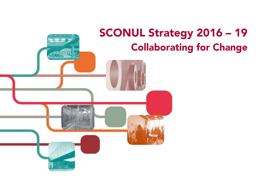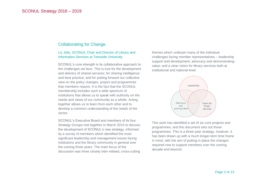# Collaborating for Change

## Liz Jolly, SCONUL Chair and Director of Library and Information Services at Teesside University

SCONUL's core strength is its collaborative approach to the challenges we face. This is true for the development and delivery of shared services; for sharing intelligence and best practice; and for putting forward our collective view on the policy changes, project and programmes that members require. It is the fact that the SCONUL membership includes such a wide spectrum of institutions that allows us to speak with authority on the needs and views of our community as a whole. Acting together allows us to learn from each other and to develop a common understanding of the needs of the sector.

SCONUL's Executive Board and members of its four Strategy Groups met together in March 2015 to discuss the development of SCONUL's new strategy, informed by a survey of members which identified the most significant leadership and management issues facing institutions and the library community in general over the coming three years. The main focus of the discussion was three closely inter-related, cross-cutting

themes which underpin many of the individual challenges facing member representatives – leadership support and development; advocacy and demonstrating value; and a clear vision for library services both at institutional and national level.



This work has identified a set of six core projects and programmes, and this document sets out those programmes. This is a three-year strategy, however, it has been drawn up with a much longer-term time frame in mind, with the aim of putting in place the changes required now to support members over the coming decade and beyond.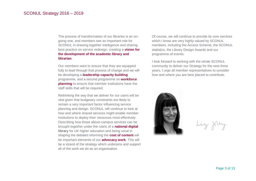The process of transformation of our libraries is an ongoing one, and members see an important role for SCONUL in drawing together intelligence and sharing best practice on service redesign, creating a **vision for the development of the academic library and librarian**.

Our members want to ensure that they are equipped fully to lead through that process of change and we will be developing a **leadership capacity building** programme, and a second programme on **workforce planning** to ensure that member institutions have the staff skills that will be required.

Rethinking the way that we deliver for our users will be vital given that budgetary constraints are likely to remain a very important factor influencing service planning and design. SCONUL will continue to look at how and where shared services might enable member institutions to deploy their resources most effectively. Describing how those above-campus services can be brought together under the rubric of a **national digital library** for UK higher education and being vocal in shaping the debates informing the **cost of content** will be important elements of our **advocacy work**. This will be a strand of the strategy which underpins and support all of the work we do as an organisation.

Of course, we will continue to provide its core services which I know are very highly valued by SCONUL members, including the Access Scheme, the SCONUL statistics, the Library Design Awards and our programme of events.

I look forward to working with the whole SCONUL community to deliver our Strategy for the next three years. I urge all member representatives to consider how and where you are best placed to contribute.



Liz Jolly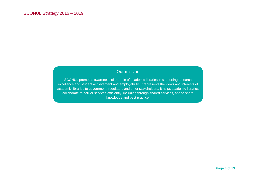# Our mission

SCONUL promotes awareness of the role of academic libraries in supporting research excellence and student achievement and employability. It represents the views and interests of academic libraries to government, regulators and other stakeholders. It helps academic libraries collaborate to deliver services efficiently, including through shared services, and to share knowledge and best practice.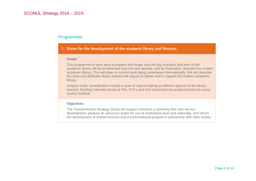# Programmes

## 1. Vision for the development of the academic library and librarian

#### **Scope**

This programme of work aims to explore and shape how the key functions and form of the academic library will be transformed over the next decade, and by implication, describe the modern academic library. This will draw on current work being undertaken internationally. We will describe the skills and attributes library leaders will require to deliver and to support the modern academic library.

Outputs under consideration include a suite of reports looking at different aspects of the library function. Briefing materials aimed at FDs, PVCs and VCs would then be produced from the same source material.

### **Objectives**

The Transformation Strategy Group will support members in planning their own service development, produce an advocacy toolkit for use at institutional level and nationally, and inform the development of shared services and transformational projects in partnership with other bodies.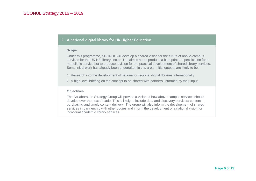## 2. A national digital library for UK Higher Education

### **Scope**

Under this programme, SCONUL will develop a shared vision for the future of above-campus services for the UK HE library sector. The aim is not to produce a blue print or specification for a monolithic service but to produce a vision for the practical development of shared library services. Some initial work has already been undertaken in this area. Initial outputs are likely to be:

- 1. Research into the development of national or regional digital libraries internationally
- 2. A high-level briefing on the concept to be shared with partners, informed by their input.

### **Objectives**

The Collaboration Strategy Group will provide a vision of how above-campus services should develop over the next decade. This is likely to include data and discovery services; content purchasing and timely content delivery. The group will also inform the development of shared services in partnership with other bodies and inform the development of a national vision for individual academic library services.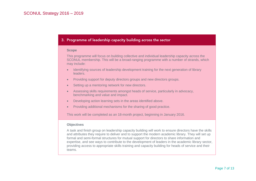# 3. Programme of leadership capacity building across the sector

#### **Scope**

This programme will focus on building collective and individual leadership capacity across the SCONUL membership. This will be a broad-ranging programme with a number of strands, which may include:

- Identifying sources of leadership development training for the next generation of library leaders.
- Providing support for deputy directors groups and new directors groups.
- Setting up a mentoring network for new directors.
- Assessing skills requirements amongst heads of service, particularly in advocacy, benchmarking and value and impact.
- Developing action learning sets in the areas identified above.
- Providing additional mechanisms for the sharing of good practice.

This work will be completed as an 18-month project, beginning in January 2016.

### **Objectives**

A task and finish group on leadership capacity building will work to ensure directors have the skills and attributes they require to deliver and to support the modern academic library. They will set up formal and semi-formal structures for mutual support for directors to share information and expertise, and see ways to contribute to the development of leaders in the academic library sector, providing access to appropriate skills training and capacity building for heads of service and their teams.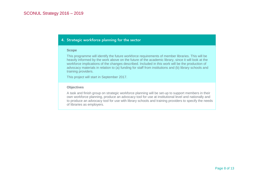# 4. Strategic workforce planning for the sector

#### **Scope**

This programme will identify the future workforce requirements of member libraries. This will be heavily informed by the work above on the future of the academic library, since it will look at the workforce implications of the changes described. Included in this work will be the production of advocacy materials in relation to (a) funding for staff from institutions and (b) library schools and training providers.

This project will start in September 2017.

### **Objectives**

A task and finish group on strategic workforce planning will be set-up to support members in their own workforce planning, produce an advocacy tool for use at institutional level and nationally and to produce an advocacy tool for use with library schools and training providers to specify the needs of libraries as employers.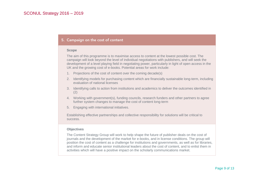## 5. Campaign on the cost of content

#### **Scope**

The aim of this programme is to maximise access to content at the lowest possible cost. The campaign will look beyond the level of individual negotiations with publishers, and will seek the development of a level playing field in negotiating power, particularly in light of open access in the UK and the growing cost of e-books. Potential areas for work include:

- 1. Projections of the cost of content over the coming decade(s)
- 2. Identifying models for purchasing content which are financially sustainable long-term, including evaluation of national licenses
- 3. Identifying calls to action from institutions and academics to deliver the outcomes identified in (2)
- 4. Working with government(s), funding councils, research funders and other partners to agree further system changes to manage the cost of content long-term
- 5. Engaging with international initiatives.

Establishing effective partnerships and collective responsibility for solutions will be critical to success.

### **Objectives**

The Content Strategy Group will work to help shape the future of publisher deals on the cost of journals and the development of the market for e-books, and in license conditions. The group will position the cost of content as a challenge for institutions and governments, as well as for libraries, and inform and educate senior institutional leaders about the cost of content, and to enlist them in activities which will have a positive impact on the scholarly communications market.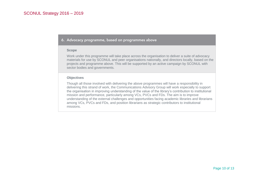### 6. Advocacy programme, based on programmes above

#### **Scope**

Work under this programme will take place across the organisation to deliver a suite of advocacy materials for use by SCONUL and peer organisations nationally, and directors locally, based on the projects and programme above. This will be supported by an active campaign by SCONUL with sector bodies and governments.

### **Objectives**

Though all those involved with delivering the above programmes will have a responsibility in delivering this strand of work, the Communications Advisory Group will work especially to support the organisation in improving understanding of the value of the library's contribution to institutional mission and performance, particularly among VCs, PVCs and FDs. The aim is to improve understanding of the external challenges and opportunities facing academic libraries and librarians among VCs, PVCs and FDs, and position librarians as strategic contributors to institutional missions.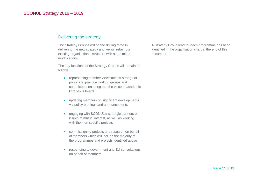# Delivering the strategy

The Strategy Groups will be the driving force in delivering the new strategy and we will retain our existing organisational structure with some minor modifications.

The key functions of the Strategy Groups will remain as follows:

- representing member views across a range of policy and practice working groups and committees, ensuring that the voice of academic libraries is heard
- updating members on significant developments via policy briefings and announcements
- engaging with SCONUL's strategic partners on issues of mutual interest, as well as working with them on specific projects
- commissioning projects and research on behalf of members which will include the majority of the programmes and projects identified above
- responding to government and EU consultations on behalf of members.

A Strategy Group lead for each programme has been identified in the organisation chart at the end of this document.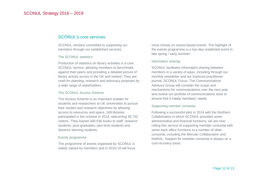# SCONUL's core services

SCONUL remains committed to supporting our members through our established services.

#### The SCONUL statistics

Production of statistics on library activities is a core SCONUL service, allowing members to benchmark against their peers and providing a detailed picture of library activity across in the UK and Ireland. They are used for planning, research and advocacy purposes by a wide range of stakeholders.

### The SCONUL Access Scheme

The Access Scheme is an important enabler for students and researchers at UK universities to pursue their studies and research objectives by allowing access to resources and space. 169 libraries participated in the scheme in 2014, welcoming 45,732 visitors. They loaned 340,036 books to staff, research students, post-graduates, part-time students and distance learning students.

### Events programme

The programme of events organised by SCONUL is widely valued by members and in 2016-19 will focus

more closely on issues-based events. The highlight of the events programme is a two-day residential event in late spring / early summer.

### Information sharing

SCONUL facilitates information sharing between members in a variety of ways, including through our monthly newsletter and our triannual practitioner journal, SCONUL Focus. The Communications Advisory Group will consider the scope and mechanisms for communications over the next year and review our portfolio of communications tools to ensure that it meets members' needs.

### Supporting member consortia

Following a successful pilot in 2014 with the Northern Collaboration in which SCONUL provided some administrative and financial functions, we are now rolling this service of supporting member consortia with some back office functions to a number of other consortia, including the Mercian Collaboration and NoWAL. Support for member consortia is always on a cost-recovery basis.